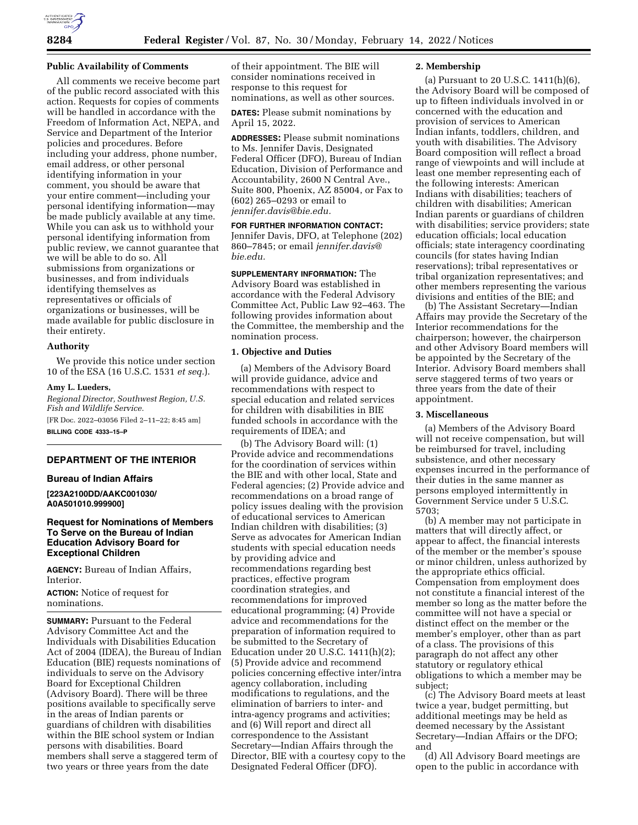

## **Public Availability of Comments**

All comments we receive become part of the public record associated with this action. Requests for copies of comments will be handled in accordance with the Freedom of Information Act, NEPA, and Service and Department of the Interior policies and procedures. Before including your address, phone number, email address, or other personal identifying information in your comment, you should be aware that your entire comment—including your personal identifying information—may be made publicly available at any time. While you can ask us to withhold your personal identifying information from public review, we cannot guarantee that we will be able to do so. All submissions from organizations or businesses, and from individuals identifying themselves as representatives or officials of organizations or businesses, will be made available for public disclosure in their entirety.

#### **Authority**

We provide this notice under section 10 of the ESA (16 U.S.C. 1531 *et seq.*).

### **Amy L. Lueders,**

*Regional Director, Southwest Region, U.S. Fish and Wildlife Service.*  [FR Doc. 2022–03056 Filed 2–11–22; 8:45 am] **BILLING CODE 4333–15–P** 

# **DEPARTMENT OF THE INTERIOR**

#### **Bureau of Indian Affairs**

**[223A2100DD/AAKC001030/ A0A501010.999900]** 

# **Request for Nominations of Members To Serve on the Bureau of Indian Education Advisory Board for Exceptional Children**

**AGENCY:** Bureau of Indian Affairs, Interior.

**ACTION:** Notice of request for nominations.

**SUMMARY: Pursuant to the Federal** Advisory Committee Act and the Individuals with Disabilities Education Act of 2004 (IDEA), the Bureau of Indian Education (BIE) requests nominations of individuals to serve on the Advisory Board for Exceptional Children (Advisory Board). There will be three positions available to specifically serve in the areas of Indian parents or guardians of children with disabilities within the BIE school system or Indian persons with disabilities. Board members shall serve a staggered term of two years or three years from the date

of their appointment. The BIE will consider nominations received in response to this request for nominations, as well as other sources.

**DATES:** Please submit nominations by April 15, 2022.

**ADDRESSES:** Please submit nominations to Ms. Jennifer Davis, Designated Federal Officer (DFO), Bureau of Indian Education, Division of Performance and Accountability, 2600 N Central Ave., Suite 800, Phoenix, AZ 85004, or Fax to (602) 265–0293 or email to *[jennifer.davis@bie.edu.](mailto:jennifer.davis@bie.edu)* 

**FOR FURTHER INFORMATION CONTACT:**  Jennifer Davis, DFO, at Telephone (202) 860–7845; or email *[jennifer.davis@](mailto:jennifer.davis@bie.edu) [bie.edu.](mailto:jennifer.davis@bie.edu)* 

# **SUPPLEMENTARY INFORMATION:** The

Advisory Board was established in accordance with the Federal Advisory Committee Act, Public Law 92–463. The following provides information about the Committee, the membership and the nomination process.

## **1. Objective and Duties**

(a) Members of the Advisory Board will provide guidance, advice and recommendations with respect to special education and related services for children with disabilities in BIE funded schools in accordance with the requirements of IDEA; and

(b) The Advisory Board will: (1) Provide advice and recommendations for the coordination of services within the BIE and with other local, State and Federal agencies; (2) Provide advice and recommendations on a broad range of policy issues dealing with the provision of educational services to American Indian children with disabilities; (3) Serve as advocates for American Indian students with special education needs by providing advice and recommendations regarding best practices, effective program coordination strategies, and recommendations for improved educational programming; (4) Provide advice and recommendations for the preparation of information required to be submitted to the Secretary of Education under 20 U.S.C. 1411(h)(2); (5) Provide advice and recommend policies concerning effective inter/intra agency collaboration, including modifications to regulations, and the elimination of barriers to inter- and intra-agency programs and activities; and (6) Will report and direct all correspondence to the Assistant Secretary—Indian Affairs through the Director, BIE with a courtesy copy to the Designated Federal Officer (DFO).

## **2. Membership**

(a) Pursuant to 20 U.S.C. 1411(h)(6), the Advisory Board will be composed of up to fifteen individuals involved in or concerned with the education and provision of services to American Indian infants, toddlers, children, and youth with disabilities. The Advisory Board composition will reflect a broad range of viewpoints and will include at least one member representing each of the following interests: American Indians with disabilities; teachers of children with disabilities; American Indian parents or guardians of children with disabilities; service providers; state education officials; local education officials; state interagency coordinating councils (for states having Indian reservations); tribal representatives or tribal organization representatives; and other members representing the various divisions and entities of the BIE; and

(b) The Assistant Secretary—Indian Affairs may provide the Secretary of the Interior recommendations for the chairperson; however, the chairperson and other Advisory Board members will be appointed by the Secretary of the Interior. Advisory Board members shall serve staggered terms of two years or three years from the date of their appointment.

## **3. Miscellaneous**

(a) Members of the Advisory Board will not receive compensation, but will be reimbursed for travel, including subsistence, and other necessary expenses incurred in the performance of their duties in the same manner as persons employed intermittently in Government Service under 5 U.S.C. 5703;

(b) A member may not participate in matters that will directly affect, or appear to affect, the financial interests of the member or the member's spouse or minor children, unless authorized by the appropriate ethics official. Compensation from employment does not constitute a financial interest of the member so long as the matter before the committee will not have a special or distinct effect on the member or the member's employer, other than as part of a class. The provisions of this paragraph do not affect any other statutory or regulatory ethical obligations to which a member may be subject;

(c) The Advisory Board meets at least twice a year, budget permitting, but additional meetings may be held as deemed necessary by the Assistant Secretary—Indian Affairs or the DFO; and

(d) All Advisory Board meetings are open to the public in accordance with